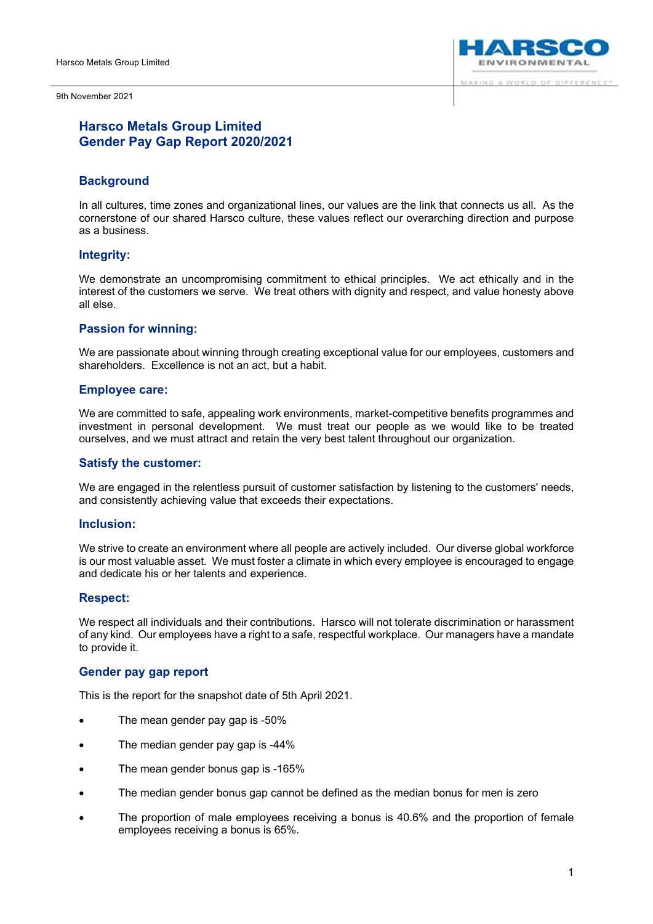



# **Harsco Metals Group Limited Gender Pay Gap Report 2020/2021**

## **Background**

In all cultures, time zones and organizational lines, our values are the link that connects us all. As the cornerstone of our shared Harsco culture, these values reflect our overarching direction and purpose as a business.

## **Integrity:**

We demonstrate an uncompromising commitment to ethical principles. We act ethically and in the interest of the customers we serve. We treat others with dignity and respect, and value honesty above all else.

## **Passion for winning:**

We are passionate about winning through creating exceptional value for our employees, customers and shareholders. Excellence is not an act, but a habit.

## **Employee care:**

We are committed to safe, appealing work environments, market-competitive benefits programmes and investment in personal development. We must treat our people as we would like to be treated ourselves, and we must attract and retain the very best talent throughout our organization.

#### **Satisfy the customer:**

We are engaged in the relentless pursuit of customer satisfaction by listening to the customers' needs, and consistently achieving value that exceeds their expectations.

#### **Inclusion:**

We strive to create an environment where all people are actively included. Our diverse global workforce is our most valuable asset. We must foster a climate in which every employee is encouraged to engage and dedicate his or her talents and experience.

## **Respect:**

We respect all individuals and their contributions. Harsco will not tolerate discrimination or harassment of any kind. Our employees have a right to a safe, respectful workplace. Our managers have a mandate to provide it.

## **Gender pay gap report**

This is the report for the snapshot date of 5th April 2021.

- The mean gender pay gap is -50%
- The median gender pay gap is -44%
- The mean gender bonus gap is -165%
- The median gender bonus gap cannot be defined as the median bonus for men is zero
- The proportion of male employees receiving a bonus is 40.6% and the proportion of female employees receiving a bonus is 65%.